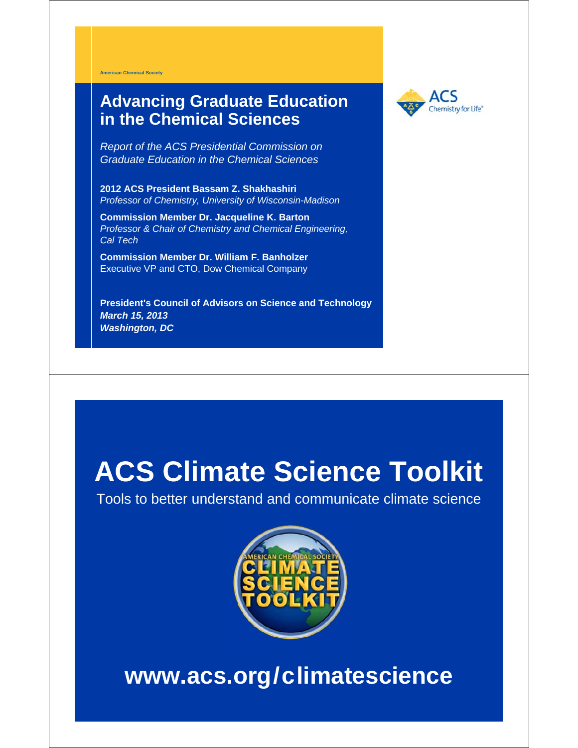**American Chemical Society**

#### **Advancing Graduate Education in the Chemical Sciences**



*Report of the ACS Presidential Commission on Graduate Education in the Chemical Sciences*

**2012 ACS President Bassam Z. Shakhashiri** *Professor of Chemistry, University of Wisconsin-Madison*

**Commission Member Dr. Jacqueline K. Barton** *Professor & Chair of Chemistry and Chemical Engineering, Cal Tech*

**Commission Member Dr. William F. Banholzer** Executive VP and CTO, Dow Chemical Company

**President's Council of Advisors on Science and Technology** *March 15, 2013 Washington, DC*

# **ACS Climate Science Toolkit**

Tools to better understand and communicate climate science



# **www.acs.org/climatescience**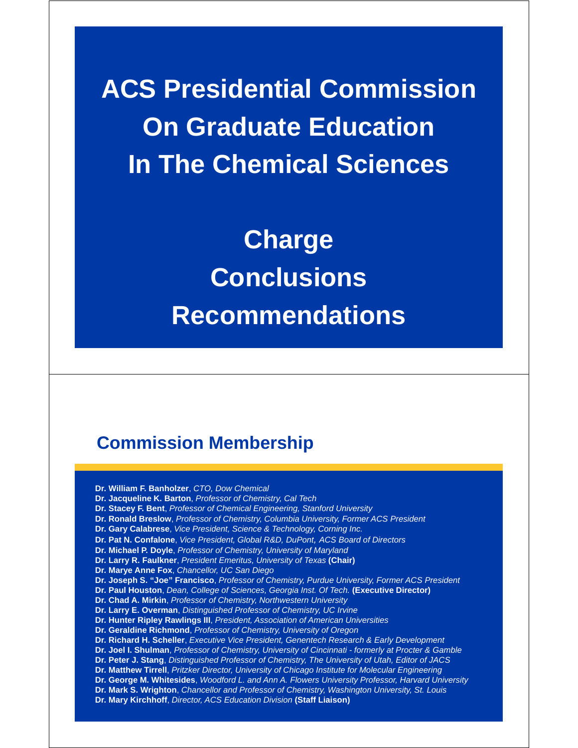**ACS Presidential Commission On Graduate Education In The Chemical Sciences**

> **Charge Conclusions Recommendations**

# **Commission Membership**

**Dr. William F. Banholzer**, *CTO, Dow Chemical*  **Dr. Jacqueline K. Barton**, *Professor of Chemistry, Cal Tech*  **Dr. Stacey F. Bent**, *Professor of Chemical Engineering, Stanford University* **Dr. Ronald Breslow**, *Professor of Chemistry, Columbia University, Former ACS President* **Dr. Gary Calabrese**, *Vice President, Science & Technology, Corning Inc.* **Dr. Pat N. Confalone**, *Vice President, Global R&D, DuPont, ACS Board of Directors* **Dr. Michael P. Doyle**, *Professor of Chemistry, University of Maryland*  **Dr. Larry R. Faulkner**, *President Emeritus, University of Texas* **(Chair) Dr. Marye Anne Fox**, *Chancellor, UC San Diego* **Dr. Joseph S. "Joe" Francisco**, *Professor of Chemistry, Purdue University, Former ACS President* **Dr. Paul Houston**, *Dean, College of Sciences, Georgia Inst. Of Tech.* **(Executive Director) Dr. Chad A. Mirkin**, *Professor of Chemistry, Northwestern University* **Dr. Larry E. Overman**, *Distinguished Professor of Chemistry, UC Irvine*  **Dr. Hunter Ripley Rawlings III**, *President, Association of American Universities* **Dr. Geraldine Richmond**, *Professor of Chemistry, University of Oregon*  **Dr. Richard H. Scheller**, *Executive Vice President, Genentech Research & Early Development* **Dr. Joel I. Shulman**, *Professor of Chemistry, University of Cincinnati - formerly at Procter & Gamble*  **Dr. Peter J. Stang**, *Distinguished Professor of Chemistry, The University of Utah, Editor of JACS*  **Dr. Matthew Tirrell**, *Pritzker Director, University of Chicago Institute for Molecular Engineering* **Dr. George M. Whitesides**, *Woodford L. and Ann A. Flowers University Professor, Harvard University* **Dr. Mark S. Wrighton**, *Chancellor and Professor of Chemistry, Washington University, St. Louis*  **Dr. Mary Kirchhoff**, *Director, ACS Education Division* **(Staff Liaison)**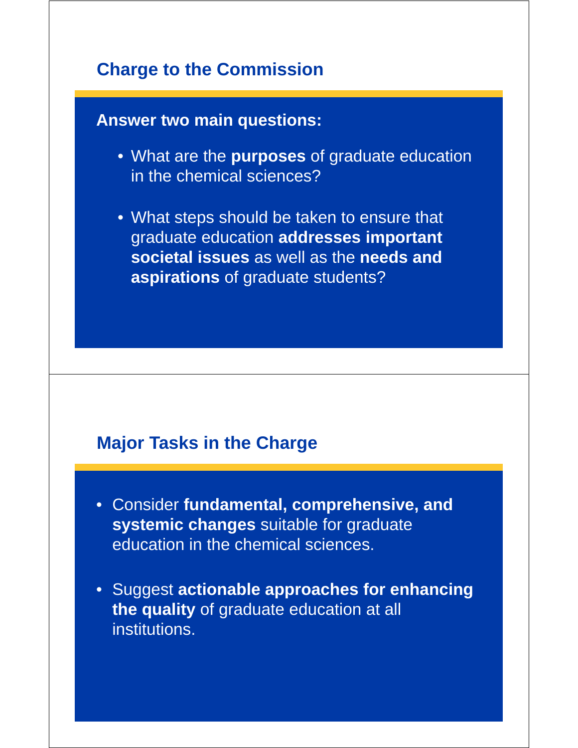# **Charge to the Commission**

# **Answer two main questions:**

- What are the **purposes** of graduate education in the chemical sciences?
- What steps should be taken to ensure that graduate education **addresses important societal issues** as well as the **needs and aspirations** of graduate students?

#### **Major Tasks in the Charge**

- Consider **fundamental, comprehensive, and systemic changes** suitable for graduate education in the chemical sciences.
- Suggest **actionable approaches for enhancing the quality** of graduate education at all institutions.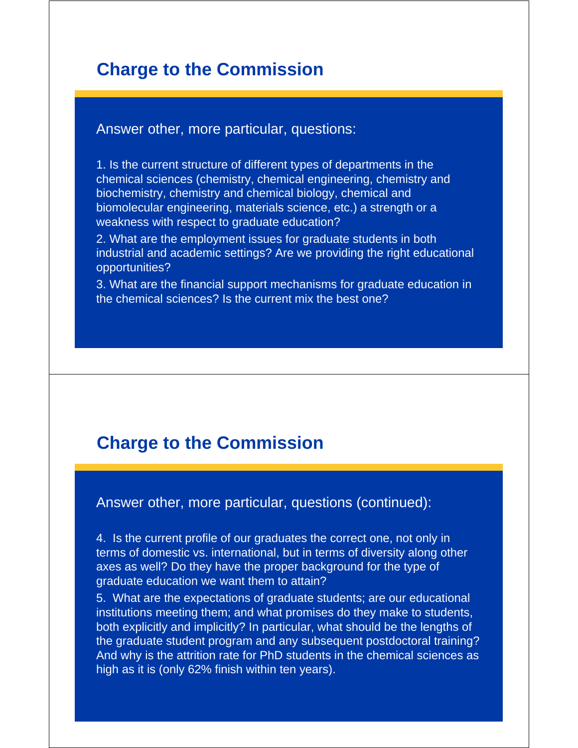### **Charge to the Commission**

#### Answer other, more particular, questions:

1. Is the current structure of different types of departments in the chemical sciences (chemistry, chemical engineering, chemistry and biochemistry, chemistry and chemical biology, chemical and biomolecular engineering, materials science, etc.) a strength or a weakness with respect to graduate education?

2. What are the employment issues for graduate students in both industrial and academic settings? Are we providing the right educational opportunities?

3. What are the financial support mechanisms for graduate education in the chemical sciences? Is the current mix the best one?

#### **Charge to the Commission**

Answer other, more particular, questions (continued):

4. Is the current profile of our graduates the correct one, not only in terms of domestic vs. international, but in terms of diversity along other axes as well? Do they have the proper background for the type of graduate education we want them to attain?

5. What are the expectations of graduate students; are our educational institutions meeting them; and what promises do they make to students, both explicitly and implicitly? In particular, what should be the lengths of the graduate student program and any subsequent postdoctoral training? And why is the attrition rate for PhD students in the chemical sciences as high as it is (only 62% finish within ten years).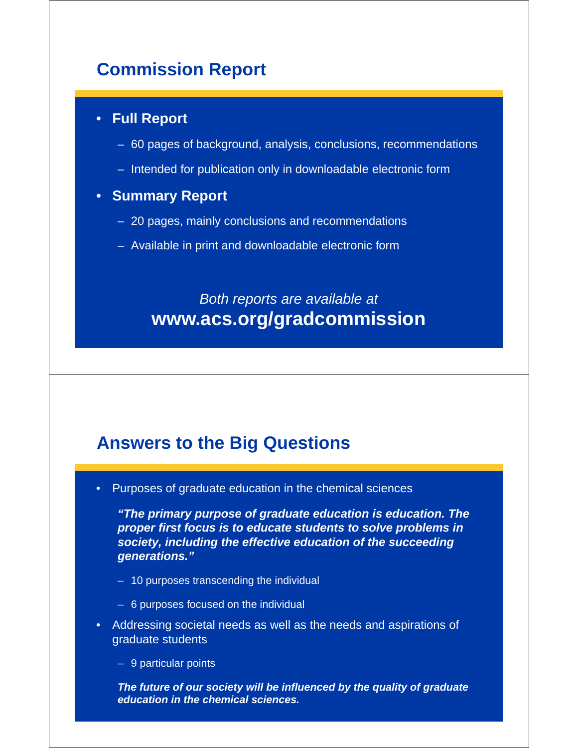# **Commission Report**

#### • **Full Report**

- 60 pages of background, analysis, conclusions, recommendations
- Intended for publication only in downloadable electronic form

#### • **Summary Report**

- 20 pages, mainly conclusions and recommendations
- Available in print and downloadable electronic form

# *Both reports are available at* **www.acs.org/gradcommission**

#### **Answers to the Big Questions**

• Purposes of graduate education in the chemical sciences

*"The primary purpose of graduate education is education. The proper first focus is to educate students to solve problems in society, including the effective education of the succeeding generations."*

- 10 purposes transcending the individual
- 6 purposes focused on the individual
- Addressing societal needs as well as the needs and aspirations of graduate students
	- 9 particular points

*The future of our society will be influenced by the quality of graduate education in the chemical sciences.*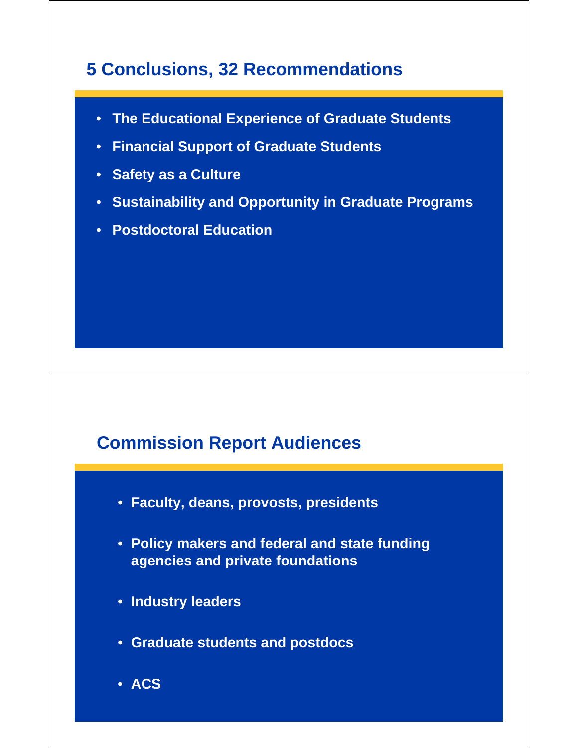# **5 Conclusions, 32 Recommendations**

- **The Educational Experience of Graduate Students**
- **Financial Support of Graduate Students**
- **Safety as a Culture**
- **Sustainability and Opportunity in Graduate Programs**
- **Postdoctoral Education**

# **Commission Report Audiences**

- **Faculty, deans, provosts, presidents**
- **Policy makers and federal and state funding agencies and private foundations**
- **Industry leaders**
- **Graduate students and postdocs**
- **ACS**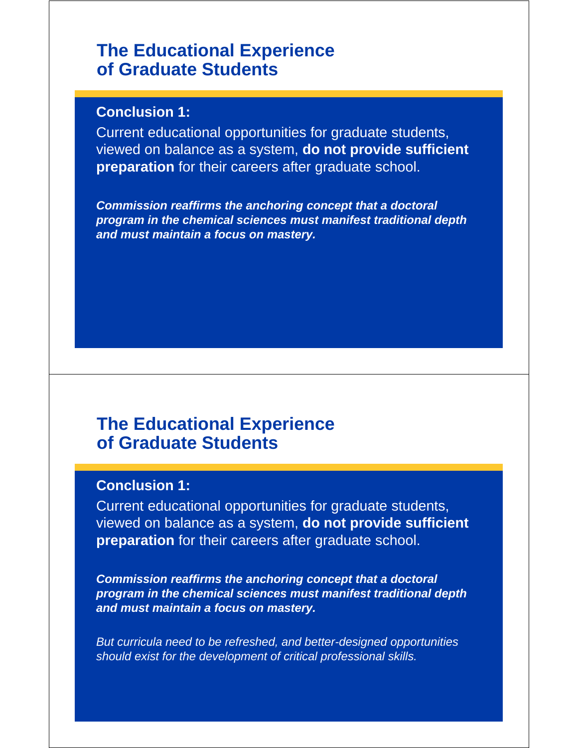#### **The Educational Experience of Graduate Students**

#### **Conclusion 1:**

Current educational opportunities for graduate students, viewed on balance as a system, **do not provide sufficient preparation** for their careers after graduate school.

*Commission reaffirms the anchoring concept that a doctoral program in the chemical sciences must manifest traditional depth and must maintain a focus on mastery.*

#### **The Educational Experience of Graduate Students**

#### **Conclusion 1:**

Current educational opportunities for graduate students, viewed on balance as a system, **do not provide sufficient preparation** for their careers after graduate school.

*Commission reaffirms the anchoring concept that a doctoral program in the chemical sciences must manifest traditional depth and must maintain a focus on mastery.*

*But curricula need to be refreshed, and better-designed opportunities should exist for the development of critical professional skills.*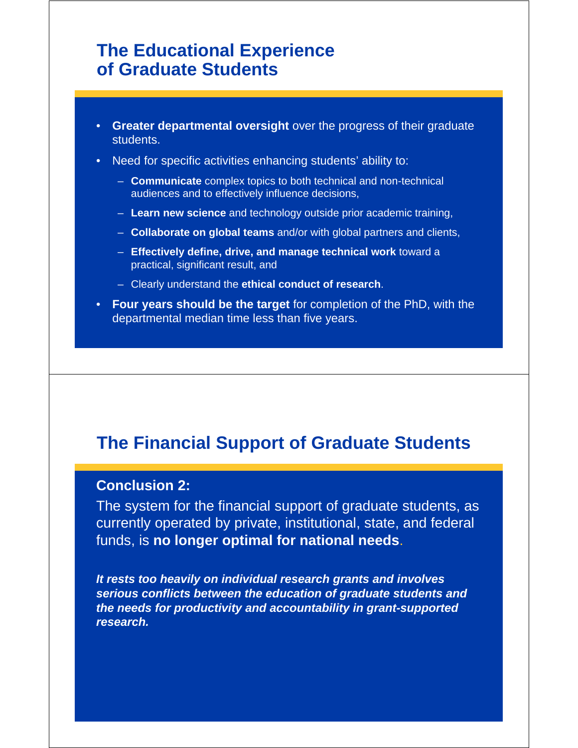#### **The Educational Experience of Graduate Students**

- **Greater departmental oversight** over the progress of their graduate students.
- Need for specific activities enhancing students' ability to:
	- **Communicate** complex topics to both technical and non-technical audiences and to effectively influence decisions,
	- **Learn new science** and technology outside prior academic training,
	- **Collaborate on global teams** and/or with global partners and clients,
	- **Effectively define, drive, and manage technical work** toward a practical, significant result, and
	- Clearly understand the **ethical conduct of research**.
- **Four years should be the target** for completion of the PhD, with the departmental median time less than five years.

# **The Financial Support of Graduate Students**

#### **Conclusion 2:**

The system for the financial support of graduate students, as currently operated by private, institutional, state, and federal funds, is **no longer optimal for national needs**.

*It rests too heavily on individual research grants and involves serious conflicts between the education of graduate students and the needs for productivity and accountability in grant-supported research.*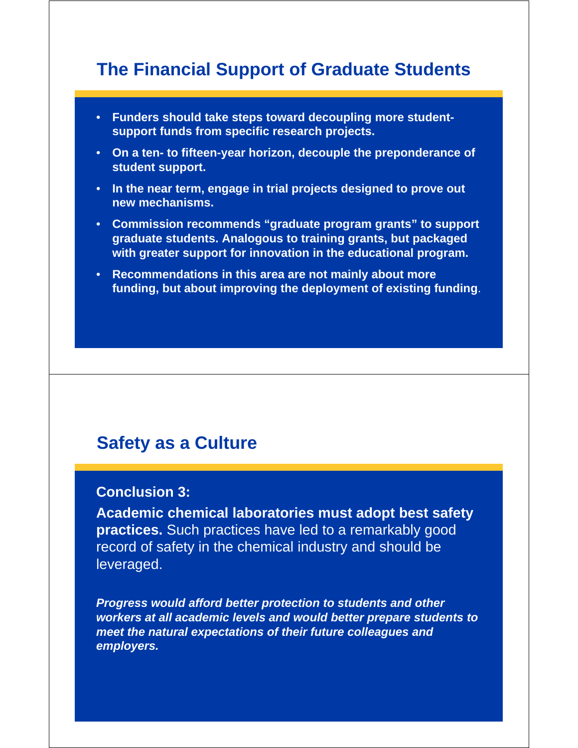# **The Financial Support of Graduate Students**

- **Funders should take steps toward decoupling more studentsupport funds from specific research projects.**
- **On a ten- to fifteen-year horizon, decouple the preponderance of student support.**
- **In the near term, engage in trial projects designed to prove out new mechanisms.**
- **Commission recommends "graduate program grants" to support graduate students. Analogous to training grants, but packaged with greater support for innovation in the educational program.**
- **Recommendations in this area are not mainly about more funding, but about improving the deployment of existing funding**.

#### **Safety as a Culture**

#### **Conclusion 3:**

**Academic chemical laboratories must adopt best safety practices.** Such practices have led to a remarkably good record of safety in the chemical industry and should be leveraged.

*Progress would afford better protection to students and other workers at all academic levels and would better prepare students to meet the natural expectations of their future colleagues and employers.*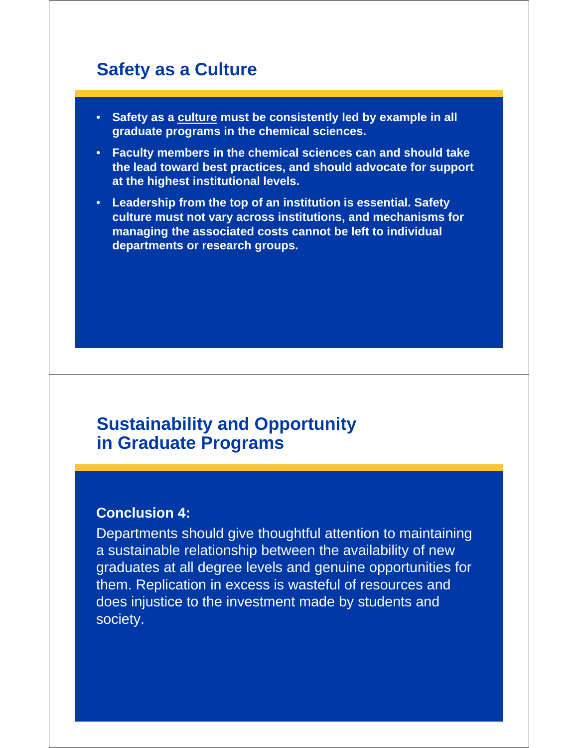# **Safety as a Culture**

- **Safety as a culture must be consistently led by example in all graduate programs in the chemical sciences.**
- **Faculty members in the chemical sciences can and should take the lead toward best practices, and should advocate for support at the highest institutional levels.**
- **Leadership from the top of an institution is essential. Safety culture must not vary across institutions, and mechanisms for managing the associated costs cannot be left to individual departments or research groups.**

#### **Sustainability and Opportunity in Graduate Programs**

#### **Conclusion 4:**

Departments should give thoughtful attention to maintaining a sustainable relationship between the availability of new graduates at all degree levels and genuine opportunities for them. Replication in excess is wasteful of resources and does injustice to the investment made by students and society.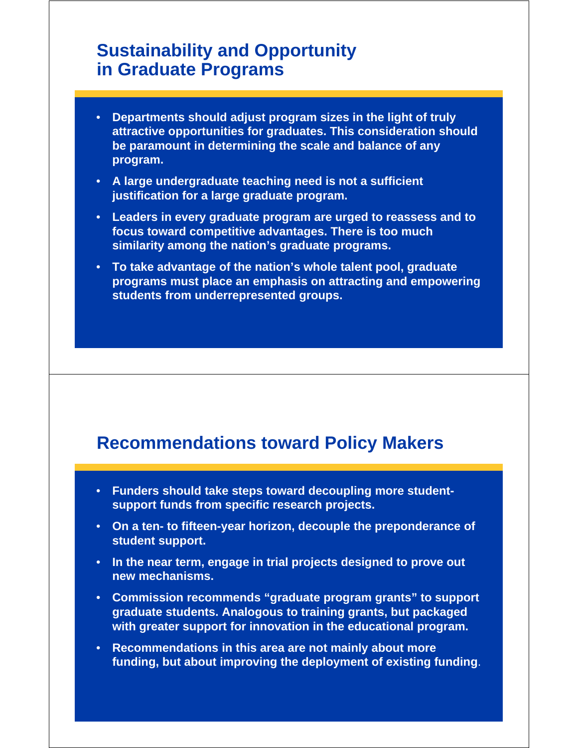# **Sustainability and Opportunity in Graduate Programs**

- **Departments should adjust program sizes in the light of truly attractive opportunities for graduates. This consideration should be paramount in determining the scale and balance of any program.**
- **A large undergraduate teaching need is not a sufficient justification for a large graduate program.**
- **Leaders in every graduate program are urged to reassess and to focus toward competitive advantages. There is too much similarity among the nation's graduate programs.**
- **To take advantage of the nation's whole talent pool, graduate programs must place an emphasis on attracting and empowering students from underrepresented groups.**

#### **Recommendations toward Policy Makers**

- **Funders should take steps toward decoupling more studentsupport funds from specific research projects.**
- **On a ten- to fifteen-year horizon, decouple the preponderance of student support.**
- **In the near term, engage in trial projects designed to prove out new mechanisms.**
- **Commission recommends "graduate program grants" to support graduate students. Analogous to training grants, but packaged with greater support for innovation in the educational program.**
- **Recommendations in this area are not mainly about more funding, but about improving the deployment of existing funding**.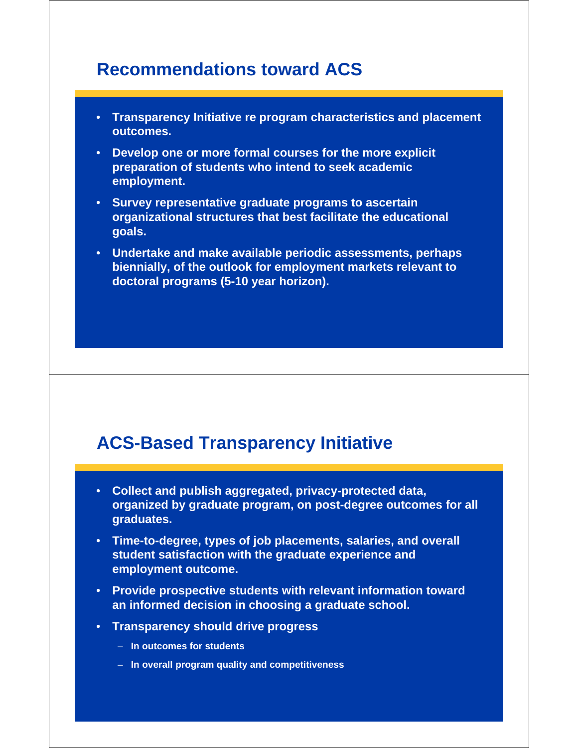#### **Recommendations toward ACS**

- **Transparency Initiative re program characteristics and placement outcomes.**
- **Develop one or more formal courses for the more explicit preparation of students who intend to seek academic employment.**
- **Survey representative graduate programs to ascertain organizational structures that best facilitate the educational goals.**
- **Undertake and make available periodic assessments, perhaps biennially, of the outlook for employment markets relevant to doctoral programs (5-10 year horizon).**

# **ACS-Based Transparency Initiative**

- **Collect and publish aggregated, privacy-protected data, organized by graduate program, on post-degree outcomes for all graduates.**
- **Time-to-degree, types of job placements, salaries, and overall student satisfaction with the graduate experience and employment outcome.**
- **Provide prospective students with relevant information toward an informed decision in choosing a graduate school.**
- **Transparency should drive progress**
	- **In outcomes for students**
	- **In overall program quality and competitiveness**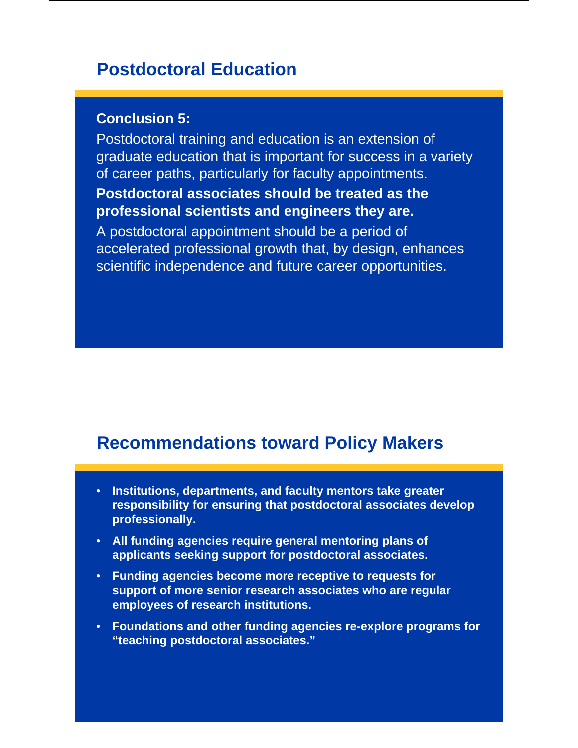#### **Postdoctoral Education**

#### **Conclusion 5:**

Postdoctoral training and education is an extension of graduate education that is important for success in a variety of career paths, particularly for faculty appointments.

#### **Postdoctoral associates should be treated as the professional scientists and engineers they are.**

A postdoctoral appointment should be a period of accelerated professional growth that, by design, enhances scientific independence and future career opportunities.

#### **Recommendations toward Policy Makers**

- **Institutions, departments, and faculty mentors take greater responsibility for ensuring that postdoctoral associates develop professionally.**
- **All funding agencies require general mentoring plans of applicants seeking support for postdoctoral associates.**
- **Funding agencies become more receptive to requests for support of more senior research associates who are regular employees of research institutions.**
- **Foundations and other funding agencies re-explore programs for "teaching postdoctoral associates."**